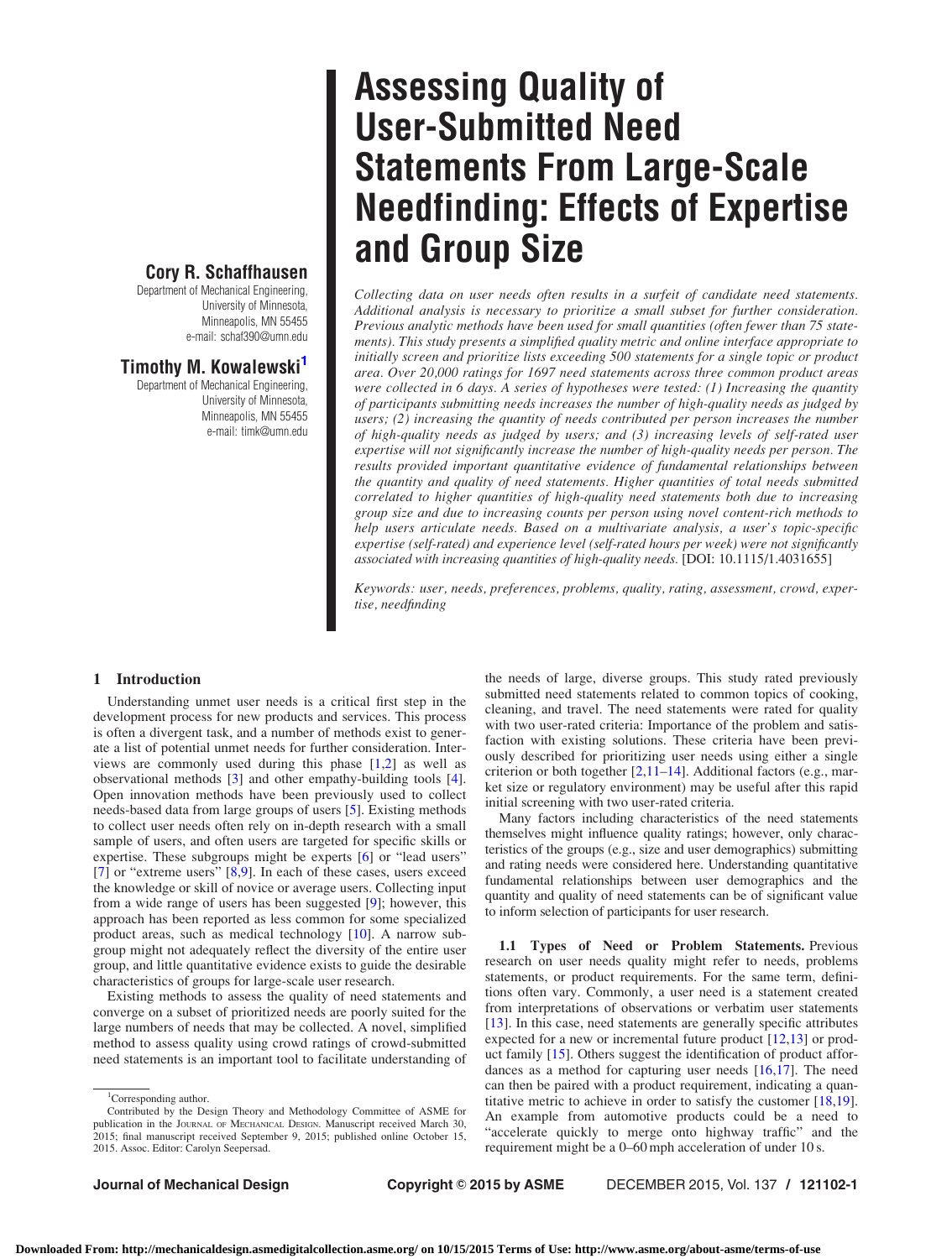# Cory R. Schaffhausen

Department of Mechanical Engineering, University of Minnesota, Minneapolis, MN 55455 e-mail: schaf390@umn.edu

# Timothy M. Kowalewski<sup>1</sup>

Department of Mechanical Engineering, University of Minnesota, Minneapolis, MN 55455 e-mail: timk@umn.edu

# Assessing Quality of User-Submitted Need Statements From Large-Scale Needfinding: Effects of Expertise and Group Size

Collecting data on user needs often results in a surfeit of candidate need statements. Additional analysis is necessary to prioritize a small subset for further consideration. Previous analytic methods have been used for small quantities (often fewer than 75 statements). This study presents a simplified quality metric and online interface appropriate to initially screen and prioritize lists exceeding 500 statements for a single topic or product area. Over 20,000 ratings for 1697 need statements across three common product areas were collected in 6 days. A series of hypotheses were tested: (1) Increasing the quantity of participants submitting needs increases the number of high-quality needs as judged by users; (2) increasing the quantity of needs contributed per person increases the number of high-quality needs as judged by users; and (3) increasing levels of self-rated user expertise will not significantly increase the number of high-quality needs per person. The results provided important quantitative evidence of fundamental relationships between the quantity and quality of need statements. Higher quantities of total needs submitted correlated to higher quantities of high-quality need statements both due to increasing group size and due to increasing counts per person using novel content-rich methods to help users articulate needs. Based on a multivariate analysis, a user's topic-specific expertise (self-rated) and experience level (self-rated hours per week) were not significantly associated with increasing quantities of high-quality needs. [DOI: 10.1115/1.4031655]

Keywords: user, needs, preferences, problems, quality, rating, assessment, crowd, expertise, needfinding

# 1 Introduction

Understanding unmet user needs is a critical first step in the development process for new products and services. This process is often a divergent task, and a number of methods exist to generate a list of potential unmet needs for further consideration. Interviews are commonly used during this phase [[1](#page-7-0),[2](#page-7-0)] as well as observational methods [\[3\]](#page-7-0) and other empathy-building tools [\[4\]](#page-7-0). Open innovation methods have been previously used to collect needs-based data from large groups of users [[5](#page-7-0)]. Existing methods to collect user needs often rely on in-depth research with a small sample of users, and often users are targeted for specific skills or expertise. These subgroups might be experts [[6](#page-7-0)] or "lead users" [[7\]](#page-7-0) or "extreme users" [\[8,9](#page-7-0)]. In each of these cases, users exceed the knowledge or skill of novice or average users. Collecting input from a wide range of users has been suggested [\[9\]](#page-7-0); however, this approach has been reported as less common for some specialized product areas, such as medical technology [[10\]](#page-7-0). A narrow subgroup might not adequately reflect the diversity of the entire user group, and little quantitative evidence exists to guide the desirable characteristics of groups for large-scale user research.

Existing methods to assess the quality of need statements and converge on a subset of prioritized needs are poorly suited for the large numbers of needs that may be collected. A novel, simplified method to assess quality using crowd ratings of crowd-submitted need statements is an important tool to facilitate understanding of

the needs of large, diverse groups. This study rated previously submitted need statements related to common topics of cooking, cleaning, and travel. The need statements were rated for quality with two user-rated criteria: Importance of the problem and satisfaction with existing solutions. These criteria have been previously described for prioritizing user needs using either a single criterion or both together  $[2,11-14]$  $[2,11-14]$  $[2,11-14]$ . Additional factors (e.g., market size or regulatory environment) may be useful after this rapid initial screening with two user-rated criteria.

Many factors including characteristics of the need statements themselves might influence quality ratings; however, only characteristics of the groups (e.g., size and user demographics) submitting and rating needs were considered here. Understanding quantitative fundamental relationships between user demographics and the quantity and quality of need statements can be of significant value to inform selection of participants for user research.

1.1 Types of Need or Problem Statements. Previous research on user needs quality might refer to needs, problems statements, or product requirements. For the same term, definitions often vary. Commonly, a user need is a statement created from interpretations of observations or verbatim user statements [[13\]](#page-7-0). In this case, need statements are generally specific attributes expected for a new or incremental future product [[12,13\]](#page-7-0) or product family [[15\]](#page-7-0). Others suggest the identification of product affordances as a method for capturing user needs [[16,17](#page-7-0)]. The need can then be paired with a product requirement, indicating a quantitative metric to achieve in order to satisfy the customer [[18,19\]](#page-7-0). An example from automotive products could be a need to "accelerate quickly to merge onto highway traffic" and the requirement might be a 0–60 mph acceleration of under 10 s.

Journal of Mechanical Design Copyright © 2015 by ASME DECEMBER 2015, Vol. 137 / 121102-1

<sup>&</sup>lt;sup>1</sup>Corresponding author. Contributed by the Design Theory and Methodology Committee of ASME for publication in the JOURNAL OF MECHANICAL DESIGN. Manuscript received March 30, 2015; final manuscript received September 9, 2015; published online October 15, 2015. Assoc. Editor: Carolyn Seepersad.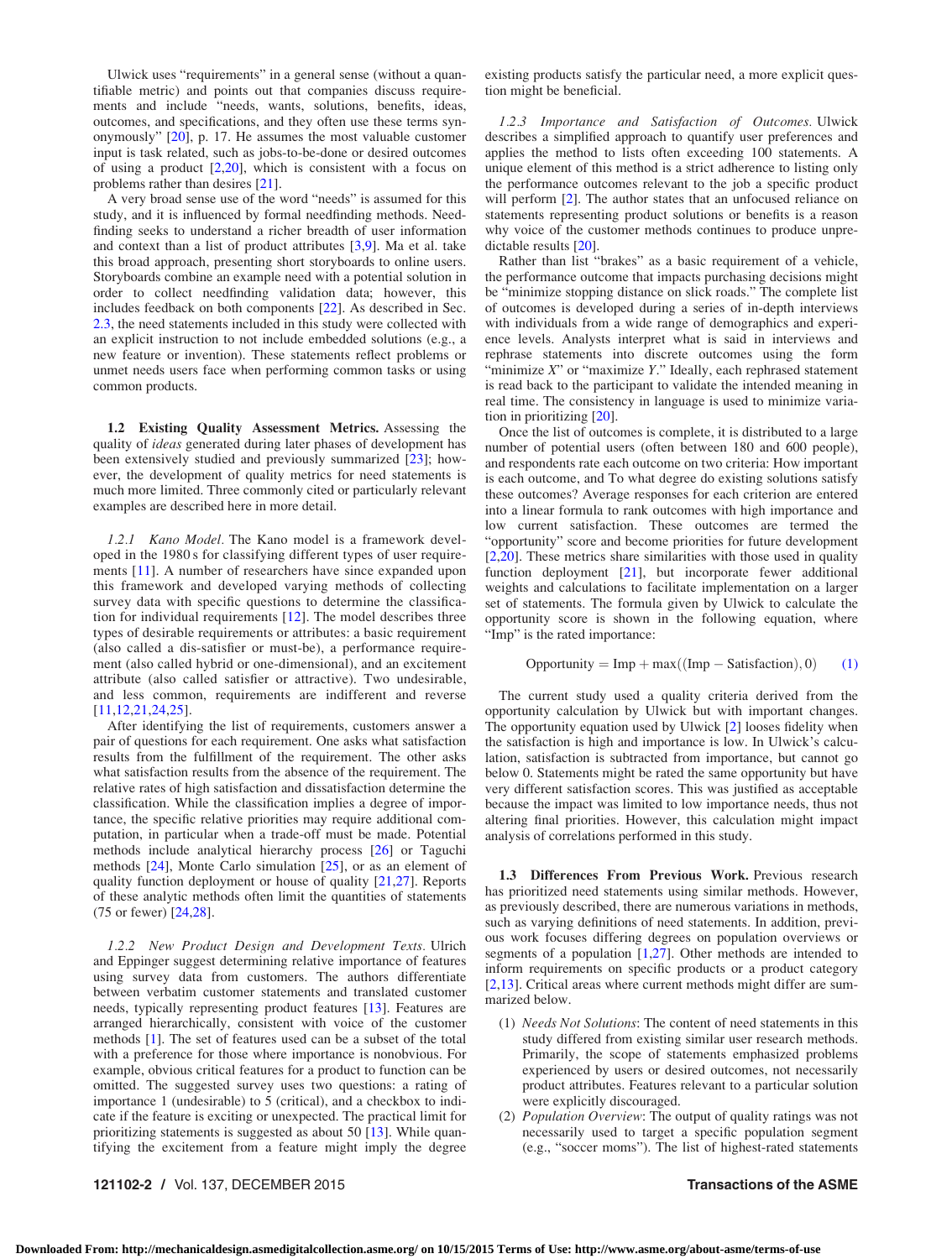<span id="page-1-0"></span>Ulwick uses "requirements" in a general sense (without a quantifiable metric) and points out that companies discuss requirements and include "needs, wants, solutions, benefits, ideas, outcomes, and specifications, and they often use these terms synonymously" [\[20](#page-7-0)], p. 17. He assumes the most valuable customer input is task related, such as jobs-to-be-done or desired outcomes of using a product  $[2,20]$  $[2,20]$  $[2,20]$  $[2,20]$ , which is consistent with a focus on problems rather than desires [\[21](#page-7-0)].

A very broad sense use of the word "needs" is assumed for this study, and it is influenced by formal needfinding methods. Needfinding seeks to understand a richer breadth of user information and context than a list of product attributes [\[3](#page-7-0),[9](#page-7-0)]. Ma et al. take this broad approach, presenting short storyboards to online users. Storyboards combine an example need with a potential solution in order to collect needfinding validation data; however, this includes feedback on both components [\[22\]](#page-7-0). As described in Sec. [2.3](#page-2-0), the need statements included in this study were collected with an explicit instruction to not include embedded solutions (e.g., a new feature or invention). These statements reflect problems or unmet needs users face when performing common tasks or using common products.

1.2 Existing Quality Assessment Metrics. Assessing the quality of ideas generated during later phases of development has been extensively studied and previously summarized [[23](#page-7-0)]; however, the development of quality metrics for need statements is much more limited. Three commonly cited or particularly relevant examples are described here in more detail.

1.2.1 Kano Model. The Kano model is a framework developed in the 1980 s for classifying different types of user requirements [[11](#page-7-0)]. A number of researchers have since expanded upon this framework and developed varying methods of collecting survey data with specific questions to determine the classification for individual requirements [[12\]](#page-7-0). The model describes three types of desirable requirements or attributes: a basic requirement (also called a dis-satisfier or must-be), a performance requirement (also called hybrid or one-dimensional), and an excitement attribute (also called satisfier or attractive). Two undesirable, and less common, requirements are indifferent and reverse [[11](#page-7-0),[12,21](#page-7-0),[24,25](#page-7-0)].

After identifying the list of requirements, customers answer a pair of questions for each requirement. One asks what satisfaction results from the fulfillment of the requirement. The other asks what satisfaction results from the absence of the requirement. The relative rates of high satisfaction and dissatisfaction determine the classification. While the classification implies a degree of importance, the specific relative priorities may require additional computation, in particular when a trade-off must be made. Potential methods include analytical hierarchy process [\[26](#page-7-0)] or Taguchi methods [[24\]](#page-7-0), Monte Carlo simulation [\[25](#page-7-0)], or as an element of quality function deployment or house of quality [\[21](#page-7-0),[27\]](#page-7-0). Reports of these analytic methods often limit the quantities of statements (75 or fewer) [[24,28\]](#page-7-0).

1.2.2 New Product Design and Development Texts. Ulrich and Eppinger suggest determining relative importance of features using survey data from customers. The authors differentiate between verbatim customer statements and translated customer needs, typically representing product features [[13\]](#page-7-0). Features are arranged hierarchically, consistent with voice of the customer methods [\[1\]](#page-7-0). The set of features used can be a subset of the total with a preference for those where importance is nonobvious. For example, obvious critical features for a product to function can be omitted. The suggested survey uses two questions: a rating of importance 1 (undesirable) to 5 (critical), and a checkbox to indicate if the feature is exciting or unexpected. The practical limit for prioritizing statements is suggested as about 50 [[13\]](#page-7-0). While quantifying the excitement from a feature might imply the degree

existing products satisfy the particular need, a more explicit question might be beneficial.

1.2.3 Importance and Satisfaction of Outcomes. Ulwick describes a simplified approach to quantify user preferences and applies the method to lists often exceeding 100 statements. A unique element of this method is a strict adherence to listing only the performance outcomes relevant to the job a specific product will perform [\[2\]](#page-7-0). The author states that an unfocused reliance on statements representing product solutions or benefits is a reason why voice of the customer methods continues to produce unpredictable results [[20\]](#page-7-0).

Rather than list "brakes" as a basic requirement of a vehicle, the performance outcome that impacts purchasing decisions might be "minimize stopping distance on slick roads." The complete list of outcomes is developed during a series of in-depth interviews with individuals from a wide range of demographics and experience levels. Analysts interpret what is said in interviews and rephrase statements into discrete outcomes using the form "minimize X" or "maximize Y." Ideally, each rephrased statement is read back to the participant to validate the intended meaning in real time. The consistency in language is used to minimize variation in prioritizing [\[20](#page-7-0)].

Once the list of outcomes is complete, it is distributed to a large number of potential users (often between 180 and 600 people), and respondents rate each outcome on two criteria: How important is each outcome, and To what degree do existing solutions satisfy these outcomes? Average responses for each criterion are entered into a linear formula to rank outcomes with high importance and low current satisfaction. These outcomes are termed the "opportunity" score and become priorities for future development [[2,20\]](#page-7-0). These metrics share similarities with those used in quality function deployment [\[21](#page-7-0)], but incorporate fewer additional weights and calculations to facilitate implementation on a larger set of statements. The formula given by Ulwick to calculate the opportunity score is shown in the following equation, where "Imp" is the rated importance:

$$
Opportunity = Imp + max((Imp - Satisfactor), 0)
$$
 (1)

The current study used a quality criteria derived from the opportunity calculation by Ulwick but with important changes. The opportunity equation used by Ulwick [\[2\]](#page-7-0) looses fidelity when the satisfaction is high and importance is low. In Ulwick's calculation, satisfaction is subtracted from importance, but cannot go below 0. Statements might be rated the same opportunity but have very different satisfaction scores. This was justified as acceptable because the impact was limited to low importance needs, thus not altering final priorities. However, this calculation might impact analysis of correlations performed in this study.

1.3 Differences From Previous Work. Previous research has prioritized need statements using similar methods. However, as previously described, there are numerous variations in methods, such as varying definitions of need statements. In addition, previous work focuses differing degrees on population overviews or segments of a population  $[1,27]$  $[1,27]$  $[1,27]$  $[1,27]$ . Other methods are intended to inform requirements on specific products or a product category [[2,13\]](#page-7-0). Critical areas where current methods might differ are summarized below.

- (1) Needs Not Solutions: The content of need statements in this study differed from existing similar user research methods. Primarily, the scope of statements emphasized problems experienced by users or desired outcomes, not necessarily product attributes. Features relevant to a particular solution were explicitly discouraged.
- (2) Population Overview: The output of quality ratings was not necessarily used to target a specific population segment (e.g., "soccer moms"). The list of highest-rated statements

121102-2 / Vol. 137, DECEMBER 2015 Transactions of the ASME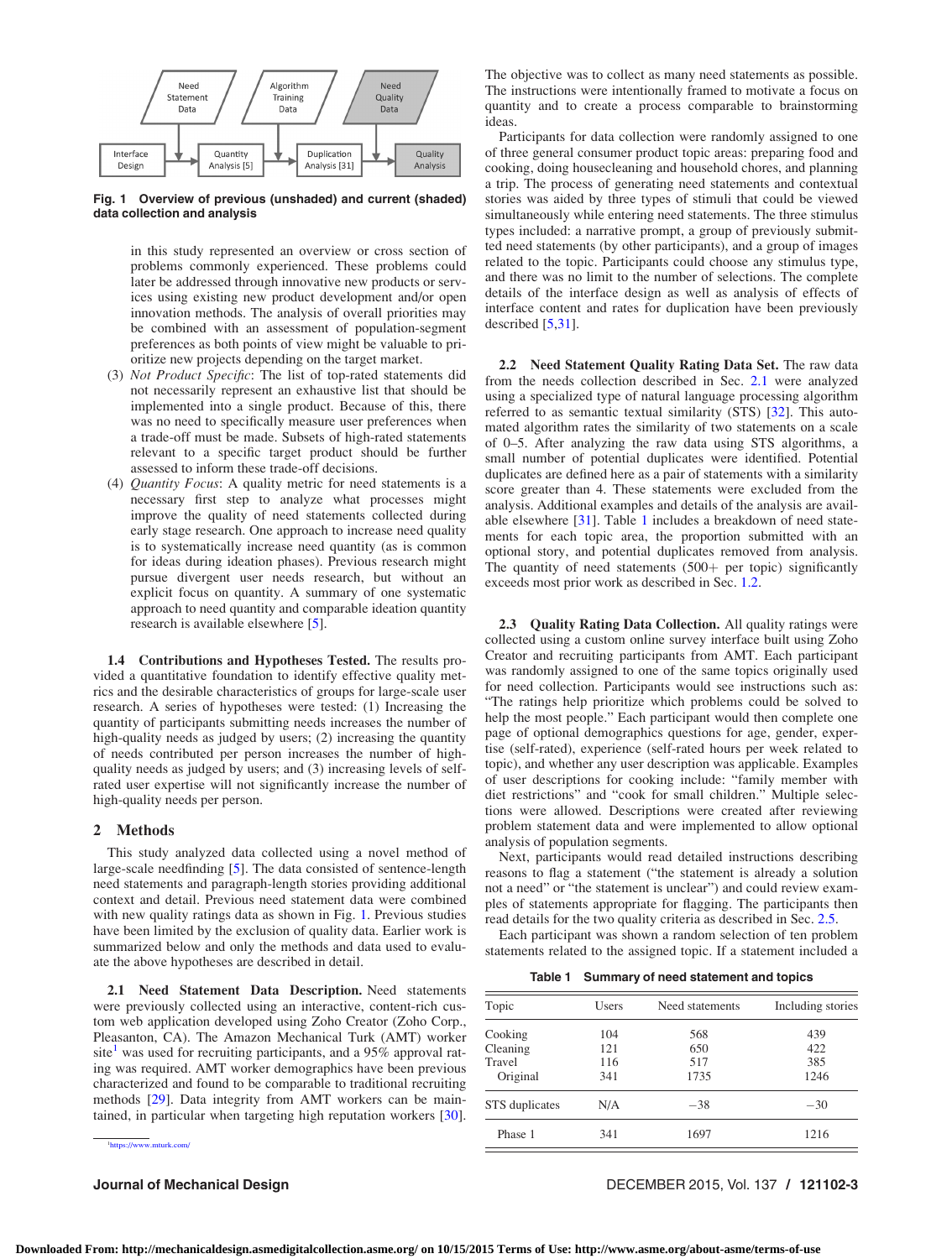<span id="page-2-0"></span>

Fig. 1 Overview of previous (unshaded) and current (shaded) data collection and analysis

in this study represented an overview or cross section of problems commonly experienced. These problems could later be addressed through innovative new products or services using existing new product development and/or open innovation methods. The analysis of overall priorities may be combined with an assessment of population-segment preferences as both points of view might be valuable to prioritize new projects depending on the target market.

- (3) Not Product Specific: The list of top-rated statements did not necessarily represent an exhaustive list that should be implemented into a single product. Because of this, there was no need to specifically measure user preferences when a trade-off must be made. Subsets of high-rated statements relevant to a specific target product should be further assessed to inform these trade-off decisions.
- (4) Quantity Focus: A quality metric for need statements is a necessary first step to analyze what processes might improve the quality of need statements collected during early stage research. One approach to increase need quality is to systematically increase need quantity (as is common for ideas during ideation phases). Previous research might pursue divergent user needs research, but without an explicit focus on quantity. A summary of one systematic approach to need quantity and comparable ideation quantity research is available elsewhere [[5](#page-7-0)].

1.4 Contributions and Hypotheses Tested. The results provided a quantitative foundation to identify effective quality metrics and the desirable characteristics of groups for large-scale user research. A series of hypotheses were tested: (1) Increasing the quantity of participants submitting needs increases the number of high-quality needs as judged by users; (2) increasing the quantity of needs contributed per person increases the number of highquality needs as judged by users; and (3) increasing levels of selfrated user expertise will not significantly increase the number of high-quality needs per person.

## 2 Methods

This study analyzed data collected using a novel method of large-scale needfinding [\[5\]](#page-7-0). The data consisted of sentence-length need statements and paragraph-length stories providing additional context and detail. Previous need statement data were combined with new quality ratings data as shown in Fig. 1. Previous studies have been limited by the exclusion of quality data. Earlier work is summarized below and only the methods and data used to evaluate the above hypotheses are described in detail.

2.1 Need Statement Data Description. Need statements were previously collected using an interactive, content-rich custom web application developed using Zoho Creator (Zoho Corp., Pleasanton, CA). The Amazon Mechanical Turk (AMT) worker site<sup>1</sup> was used for recruiting participants, and a  $95\%$  approval rating was required. AMT worker demographics have been previous characterized and found to be comparable to traditional recruiting methods [[29\]](#page-7-0). Data integrity from AMT workers can be maintained, in particular when targeting high reputation workers [[30\]](#page-7-0).

<https://www.mturk.com/>

The objective was to collect as many need statements as possible. The instructions were intentionally framed to motivate a focus on quantity and to create a process comparable to brainstorming ideas.

Participants for data collection were randomly assigned to one of three general consumer product topic areas: preparing food and cooking, doing housecleaning and household chores, and planning a trip. The process of generating need statements and contextual stories was aided by three types of stimuli that could be viewed simultaneously while entering need statements. The three stimulus types included: a narrative prompt, a group of previously submitted need statements (by other participants), and a group of images related to the topic. Participants could choose any stimulus type, and there was no limit to the number of selections. The complete details of the interface design as well as analysis of effects of interface content and rates for duplication have been previously described [[5](#page-7-0),[31\]](#page-7-0).

2.2 Need Statement Quality Rating Data Set. The raw data from the needs collection described in Sec. 2.1 were analyzed using a specialized type of natural language processing algorithm referred to as semantic textual similarity (STS) [\[32](#page-7-0)]. This automated algorithm rates the similarity of two statements on a scale of 0–5. After analyzing the raw data using STS algorithms, a small number of potential duplicates were identified. Potential duplicates are defined here as a pair of statements with a similarity score greater than 4. These statements were excluded from the analysis. Additional examples and details of the analysis are available elsewhere [[31\]](#page-7-0). Table 1 includes a breakdown of need statements for each topic area, the proportion submitted with an optional story, and potential duplicates removed from analysis. The quantity of need statements  $(500+$  per topic) significantly exceeds most prior work as described in Sec. [1.2.](#page-1-0)

2.3 Quality Rating Data Collection. All quality ratings were collected using a custom online survey interface built using Zoho Creator and recruiting participants from AMT. Each participant was randomly assigned to one of the same topics originally used for need collection. Participants would see instructions such as: "The ratings help prioritize which problems could be solved to help the most people." Each participant would then complete one page of optional demographics questions for age, gender, expertise (self-rated), experience (self-rated hours per week related to topic), and whether any user description was applicable. Examples of user descriptions for cooking include: "family member with diet restrictions" and "cook for small children." Multiple selections were allowed. Descriptions were created after reviewing problem statement data and were implemented to allow optional analysis of population segments.

Next, participants would read detailed instructions describing reasons to flag a statement ("the statement is already a solution not a need" or "the statement is unclear") and could review examples of statements appropriate for flagging. The participants then read details for the two quality criteria as described in Sec. [2.5](#page-3-0).

Each participant was shown a random selection of ten problem statements related to the assigned topic. If a statement included a

Table 1 Summary of need statement and topics

| 2.1 Need Statement Data Description. Need statements                                                                                                                                                                                                                                                                                 |                                           |                          |                           |                           |
|--------------------------------------------------------------------------------------------------------------------------------------------------------------------------------------------------------------------------------------------------------------------------------------------------------------------------------------|-------------------------------------------|--------------------------|---------------------------|---------------------------|
| ere previously collected using an interactive, content-rich cus-                                                                                                                                                                                                                                                                     | Topic                                     | Users                    | Need statements           | Including stories         |
| n web application developed using Zoho Creator (Zoho Corp.,<br>easanton, CA). The Amazon Mechanical Turk (AMT) worker<br>$e1$ was used for recruiting participants, and a 95% approval rat-<br><i>z</i> was required. AMT worker demographics have been previous<br>aracterized and found to be comparable to traditional recruiting | Cooking<br>Cleaning<br>Travel<br>Original | 104<br>121<br>116<br>341 | 568<br>650<br>517<br>1735 | 439<br>422<br>385<br>1246 |
| ethods [29]. Data integrity from AMT workers can be main-<br>ned, in particular when targeting high reputation workers [30].                                                                                                                                                                                                         | STS duplicates                            | N/A                      | $-38$                     | $-30$                     |
| https://www.mturk.com/                                                                                                                                                                                                                                                                                                               | Phase 1                                   | 341                      | 1697                      | 1216                      |

# Journal of Mechanical Design DECEMBER 2015, Vol. 137 / 121102-3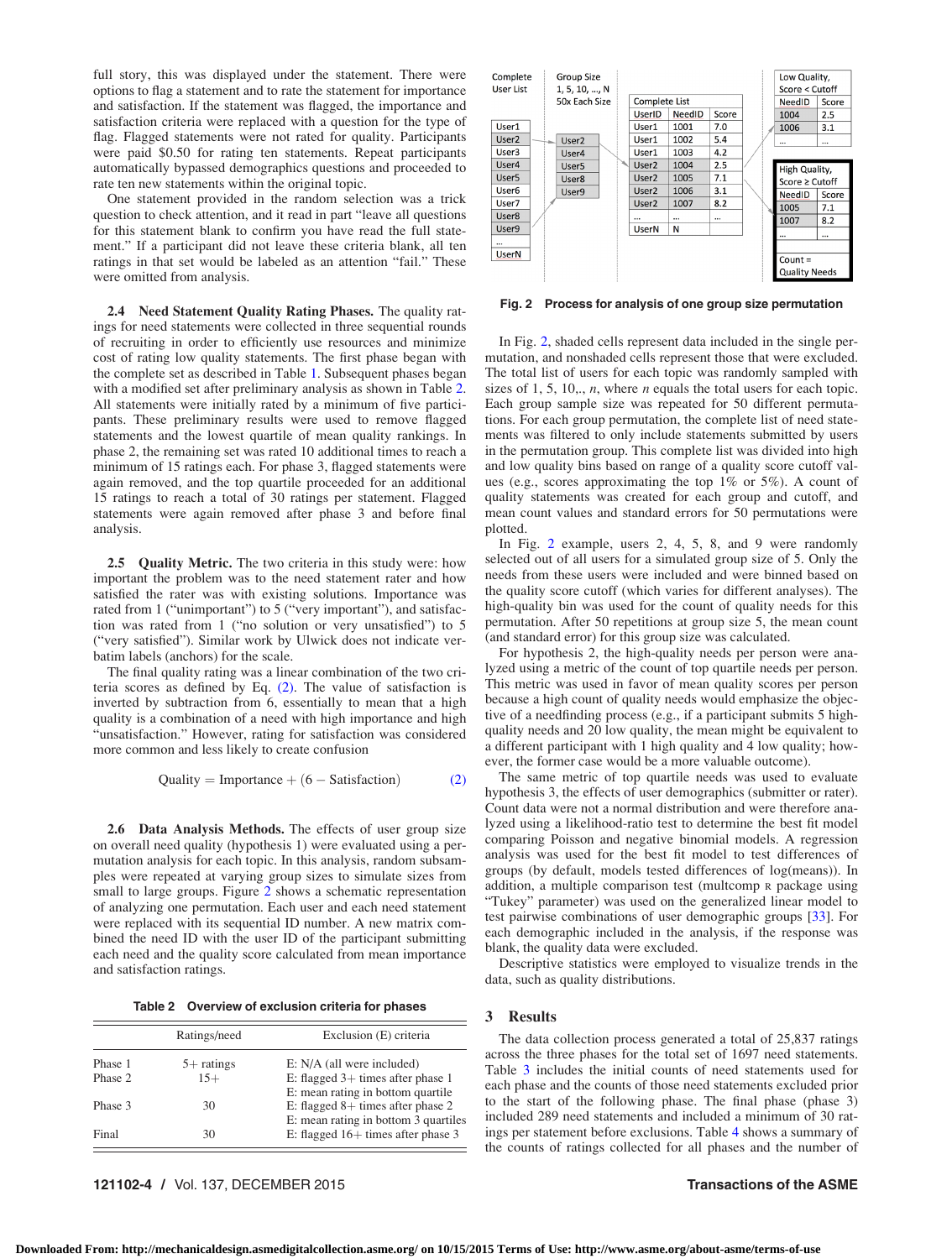<span id="page-3-0"></span>full story, this was displayed under the statement. There were options to flag a statement and to rate the statement for importance and satisfaction. If the statement was flagged, the importance and satisfaction criteria were replaced with a question for the type of flag. Flagged statements were not rated for quality. Participants were paid \$0.50 for rating ten statements. Repeat participants automatically bypassed demographics questions and proceeded to rate ten new statements within the original topic.

One statement provided in the random selection was a trick question to check attention, and it read in part "leave all questions for this statement blank to confirm you have read the full statement." If a participant did not leave these criteria blank, all ten ratings in that set would be labeled as an attention "fail." These were omitted from analysis.

2.4 Need Statement Quality Rating Phases. The quality ratings for need statements were collected in three sequential rounds of recruiting in order to efficiently use resources and minimize cost of rating low quality statements. The first phase began with the complete set as described in Table [1](#page-2-0). Subsequent phases began with a modified set after preliminary analysis as shown in Table 2. All statements were initially rated by a minimum of five participants. These preliminary results were used to remove flagged statements and the lowest quartile of mean quality rankings. In phase 2, the remaining set was rated 10 additional times to reach a minimum of 15 ratings each. For phase 3, flagged statements were again removed, and the top quartile proceeded for an additional 15 ratings to reach a total of 30 ratings per statement. Flagged statements were again removed after phase 3 and before final analysis.

2.5 Quality Metric. The two criteria in this study were: how important the problem was to the need statement rater and how satisfied the rater was with existing solutions. Importance was rated from 1 ("unimportant") to 5 ("very important"), and satisfaction was rated from 1 ("no solution or very unsatisfied") to 5 ("very satisfied"). Similar work by Ulwick does not indicate verbatim labels (anchors) for the scale.

The final quality rating was a linear combination of the two criteria scores as defined by Eq. (2). The value of satisfaction is inverted by subtraction from 6, essentially to mean that a high quality is a combination of a need with high importance and high "unsatisfaction." However, rating for satisfaction was considered more common and less likely to create confusion

$$
Quality = Importance + (6 - Satisfactor)
$$
 (2)

2.6 Data Analysis Methods. The effects of user group size on overall need quality (hypothesis 1) were evaluated using a permutation analysis for each topic. In this analysis, random subsamples were repeated at varying group sizes to simulate sizes from small to large groups. Figure 2 shows a schematic representation of analyzing one permutation. Each user and each need statement were replaced with its sequential ID number. A new matrix combined the need ID with the user ID of the participant submitting each need and the quality score calculated from mean importance and satisfaction ratings.

Table 2 Overview of exclusion criteria for phases

|         | Ratings/need | Exclusion (E) criteria                                                                                         |  |  |
|---------|--------------|----------------------------------------------------------------------------------------------------------------|--|--|
| Phase 1 | $5+$ ratings | $E: N/A$ (all were included)                                                                                   |  |  |
| Phase 2 | $15+$        | E: flagged 3+ times after phase 1                                                                              |  |  |
| Phase 3 | 30           | E: mean rating in bottom quartile<br>E: flagged 8+ times after phase 2<br>E: mean rating in bottom 3 quartiles |  |  |
| Final   | 30           | E: flagged $16+$ times after phase 3                                                                           |  |  |

121102-4 / Vol. 137, DECEMBER 2015 Transactions of the ASME



Fig. 2 Process for analysis of one group size permutation

In Fig. 2, shaded cells represent data included in the single permutation, and nonshaded cells represent those that were excluded. The total list of users for each topic was randomly sampled with sizes of 1, 5, 10,., *n*, where *n* equals the total users for each topic. Each group sample size was repeated for 50 different permutations. For each group permutation, the complete list of need statements was filtered to only include statements submitted by users in the permutation group. This complete list was divided into high and low quality bins based on range of a quality score cutoff values (e.g., scores approximating the top 1% or 5%). A count of quality statements was created for each group and cutoff, and mean count values and standard errors for 50 permutations were plotted.

In Fig. 2 example, users 2, 4, 5, 8, and 9 were randomly selected out of all users for a simulated group size of 5. Only the needs from these users were included and were binned based on the quality score cutoff (which varies for different analyses). The high-quality bin was used for the count of quality needs for this permutation. After 50 repetitions at group size 5, the mean count (and standard error) for this group size was calculated.

For hypothesis 2, the high-quality needs per person were analyzed using a metric of the count of top quartile needs per person. This metric was used in favor of mean quality scores per person because a high count of quality needs would emphasize the objective of a needfinding process (e.g., if a participant submits 5 highquality needs and 20 low quality, the mean might be equivalent to a different participant with 1 high quality and 4 low quality; however, the former case would be a more valuable outcome).

The same metric of top quartile needs was used to evaluate hypothesis 3, the effects of user demographics (submitter or rater). Count data were not a normal distribution and were therefore analyzed using a likelihood-ratio test to determine the best fit model comparing Poisson and negative binomial models. A regression analysis was used for the best fit model to test differences of groups (by default, models tested differences of log(means)). In addition, a multiple comparison test (multcomp <sup>R</sup> package using "Tukey" parameter) was used on the generalized linear model to test pairwise combinations of user demographic groups [\[33](#page-8-0)]. For each demographic included in the analysis, if the response was blank, the quality data were excluded.

Descriptive statistics were employed to visualize trends in the data, such as quality distributions.

## 3 Results

The data collection process generated a total of 25,837 ratings across the three phases for the total set of 1697 need statements. Table [3](#page-4-0) includes the initial counts of need statements used for each phase and the counts of those need statements excluded prior to the start of the following phase. The final phase (phase 3) included 289 need statements and included a minimum of 30 ratings per statement before exclusions. Table [4](#page-4-0) shows a summary of the counts of ratings collected for all phases and the number of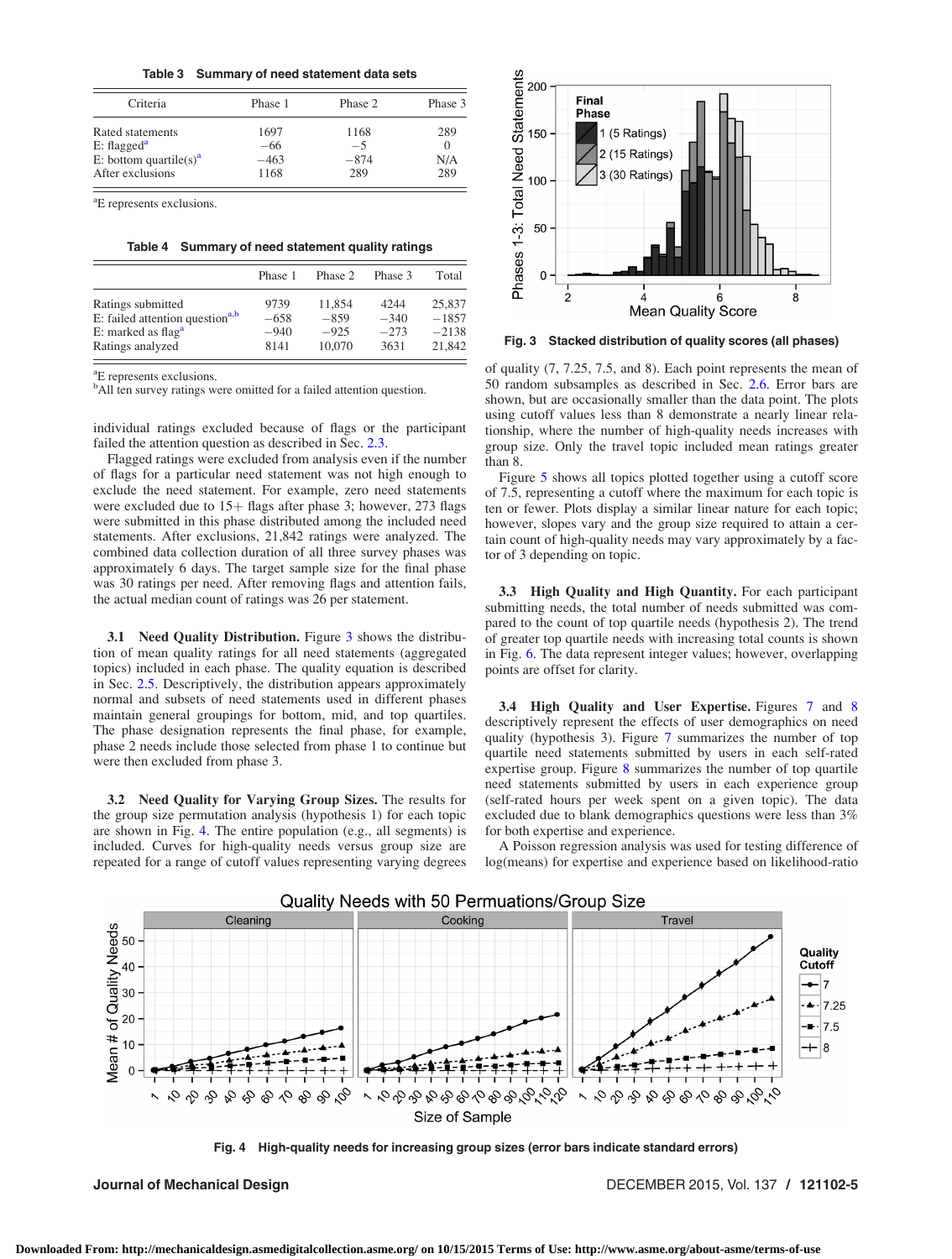|  | Table 3 Summary of need statement data sets |  |  |  |
|--|---------------------------------------------|--|--|--|
|--|---------------------------------------------|--|--|--|

<span id="page-4-0"></span>

| Criteria                           | Phase 1 | Phase 2 | Phase 3  |
|------------------------------------|---------|---------|----------|
| Rated statements                   | 1697    | 1168    | 289      |
| $E: flagged^a$                     | $-66$   | $-5$    | $\Omega$ |
| E: bottom quartile(s) <sup>a</sup> | $-463$  | $-874$  | N/A      |
| After exclusions                   | 1168    | 289     | 289      |

<sup>a</sup>E represents exclusions.

| Table 4 Summary of need statement quality ratings |  |  |  |  |  |
|---------------------------------------------------|--|--|--|--|--|
|---------------------------------------------------|--|--|--|--|--|

|                                             | Phase 1 | Phase 2 | Phase 3 | Total   |
|---------------------------------------------|---------|---------|---------|---------|
| Ratings submitted                           | 9739    | 11.854  | 4244    | 25,837  |
| E: failed attention question <sup>a,b</sup> | $-658$  | $-859$  | $-340$  | $-1857$ |
| E: marked as flag <sup>a</sup>              | $-940$  | $-925$  | $-273$  | $-2138$ |
| Ratings analyzed                            | 8141    | 10.070  | 3631    | 21,842  |

<sup>a</sup>E represents exclusions.

<sup>b</sup>All ten survey ratings were omitted for a failed attention question.

individual ratings excluded because of flags or the participant failed the attention question as described in Sec. [2.3](#page-2-0).

Flagged ratings were excluded from analysis even if the number of flags for a particular need statement was not high enough to exclude the need statement. For example, zero need statements were excluded due to  $15+$  flags after phase 3; however, 273 flags were submitted in this phase distributed among the included need statements. After exclusions, 21,842 ratings were analyzed. The combined data collection duration of all three survey phases was approximately 6 days. The target sample size for the final phase was 30 ratings per need. After removing flags and attention fails, the actual median count of ratings was 26 per statement.

3.1 Need Quality Distribution. Figure 3 shows the distribution of mean quality ratings for all need statements (aggregated topics) included in each phase. The quality equation is described in Sec. [2.5.](#page-3-0) Descriptively, the distribution appears approximately normal and subsets of need statements used in different phases maintain general groupings for bottom, mid, and top quartiles. The phase designation represents the final phase, for example, phase 2 needs include those selected from phase 1 to continue but were then excluded from phase 3.

3.2 Need Quality for Varying Group Sizes. The results for the group size permutation analysis (hypothesis 1) for each topic are shown in Fig. 4. The entire population (e.g., all segments) is included. Curves for high-quality needs versus group size are repeated for a range of cutoff values representing varying degrees



Fig. 3 Stacked distribution of quality scores (all phases)

of quality (7, 7.25, 7.5, and 8). Each point represents the mean of 50 random subsamples as described in Sec. [2.6.](#page-3-0) Error bars are shown, but are occasionally smaller than the data point. The plots using cutoff values less than 8 demonstrate a nearly linear relationship, where the number of high-quality needs increases with group size. Only the travel topic included mean ratings greater than 8.

Figure [5](#page-5-0) shows all topics plotted together using a cutoff score of 7.5, representing a cutoff where the maximum for each topic is ten or fewer. Plots display a similar linear nature for each topic; however, slopes vary and the group size required to attain a certain count of high-quality needs may vary approximately by a factor of 3 depending on topic.

3.3 High Quality and High Quantity. For each participant submitting needs, the total number of needs submitted was compared to the count of top quartile needs (hypothesis 2). The trend of greater top quartile needs with increasing total counts is shown in Fig. [6.](#page-5-0) The data represent integer values; however, overlapping points are offset for clarity.

3.4 High Quality and User Expertise. Figures [7](#page-5-0) and [8](#page-5-0) descriptively represent the effects of user demographics on need quality (hypothesis 3). Figure [7](#page-5-0) summarizes the number of top quartile need statements submitted by users in each self-rated expertise group. Figure [8](#page-5-0) summarizes the number of top quartile need statements submitted by users in each experience group (self-rated hours per week spent on a given topic). The data excluded due to blank demographics questions were less than 3% for both expertise and experience.

A Poisson regression analysis was used for testing difference of log(means) for expertise and experience based on likelihood-ratio



Fig. 4 High-quality needs for increasing group sizes (error bars indicate standard errors)

Journal of Mechanical Design DECEMBER 2015, Vol. 137 / 121102-5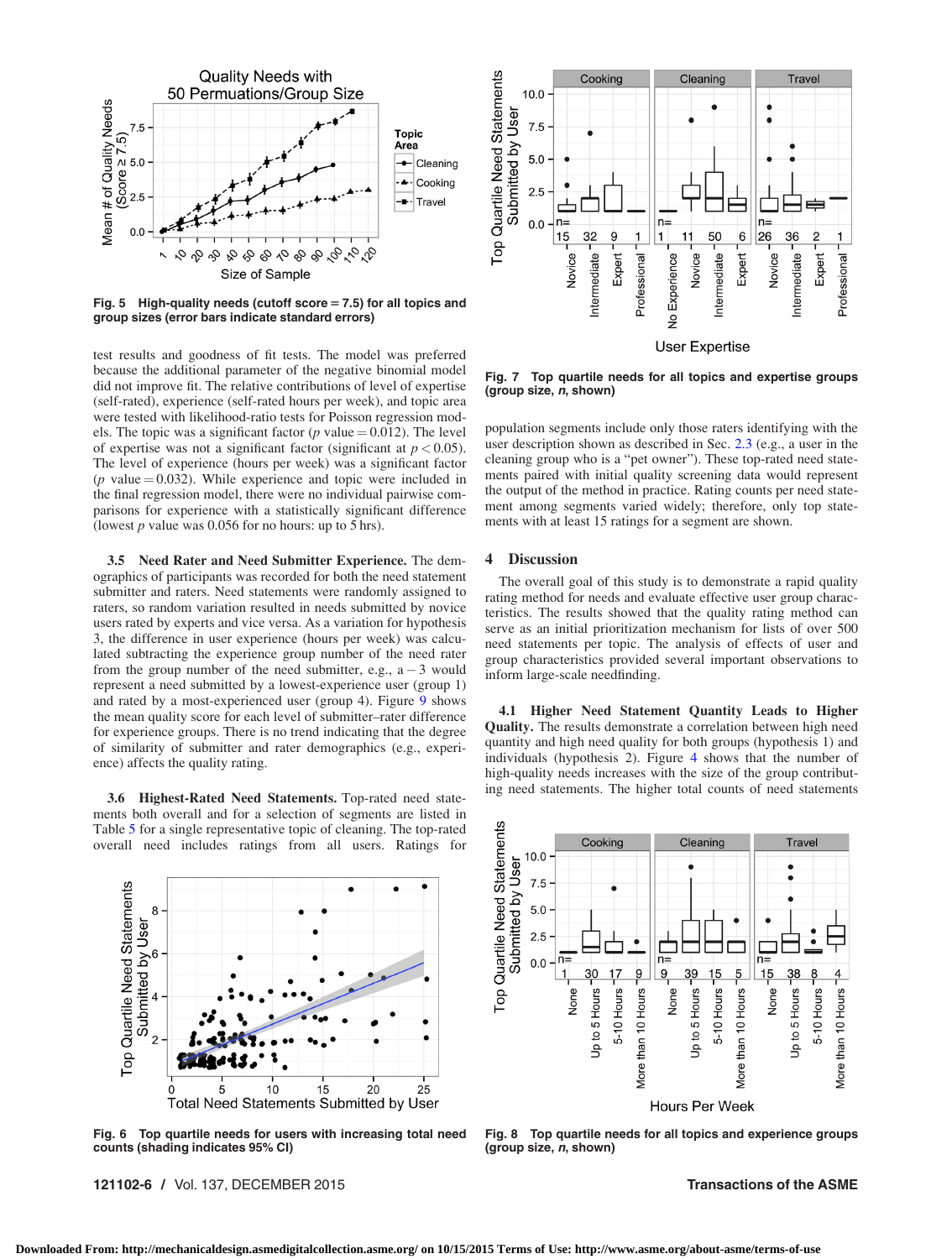<span id="page-5-0"></span>

Fig. 5 High-quality needs (cutoff score  $= 7.5$ ) for all topics and group sizes (error bars indicate standard errors)

test results and goodness of fit tests. The model was preferred because the additional parameter of the negative binomial model did not improve fit. The relative contributions of level of expertise (self-rated), experience (self-rated hours per week), and topic area were tested with likelihood-ratio tests for Poisson regression models. The topic was a significant factor ( $p$  value = 0.012). The level of expertise was not a significant factor (significant at  $p < 0.05$ ). The level of experience (hours per week) was a significant factor ( $p$  value  $= 0.032$ ). While experience and topic were included in the final regression model, there were no individual pairwise comparisons for experience with a statistically significant difference (lowest  $p$  value was 0.056 for no hours: up to 5 hrs).

3.5 Need Rater and Need Submitter Experience. The demographics of participants was recorded for both the need statement submitter and raters. Need statements were randomly assigned to raters, so random variation resulted in needs submitted by novice users rated by experts and vice versa. As a variation for hypothesis 3, the difference in user experience (hours per week) was calculated subtracting the experience group number of the need rater from the group number of the need submitter, e.g.,  $a - 3$  would represent a need submitted by a lowest-experience user (group 1) and rated by a most-experienced user (group 4). Figure [9](#page-6-0) shows the mean quality score for each level of submitter–rater difference for experience groups. There is no trend indicating that the degree of similarity of submitter and rater demographics (e.g., experience) affects the quality rating.

3.6 Highest-Rated Need Statements. Top-rated need statements both overall and for a selection of segments are listed in Table [5](#page-6-0) for a single representative topic of cleaning. The top-rated overall need includes ratings from all users. Ratings for



Fig. 6 Top quartile needs for users with increasing total need counts (shading indicates 95% CI)

121102-6 / Vol. 137, DECEMBER 2015 Transactions of the ASME



Fig. 7 Top quartile needs for all topics and expertise groups (group size, n, shown)

population segments include only those raters identifying with the user description shown as described in Sec. [2.3](#page-2-0) (e.g., a user in the cleaning group who is a "pet owner"). These top-rated need statements paired with initial quality screening data would represent the output of the method in practice. Rating counts per need statement among segments varied widely; therefore, only top statements with at least 15 ratings for a segment are shown.

### 4 Discussion

The overall goal of this study is to demonstrate a rapid quality rating method for needs and evaluate effective user group characteristics. The results showed that the quality rating method can serve as an initial prioritization mechanism for lists of over 500 need statements per topic. The analysis of effects of user and group characteristics provided several important observations to inform large-scale needfinding.

4.1 Higher Need Statement Quantity Leads to Higher Quality. The results demonstrate a correlation between high need quantity and high need quality for both groups (hypothesis 1) and individuals (hypothesis 2). Figure [4](#page-4-0) shows that the number of high-quality needs increases with the size of the group contributing need statements. The higher total counts of need statements



Fig. 8 Top quartile needs for all topics and experience groups (group size, n, shown)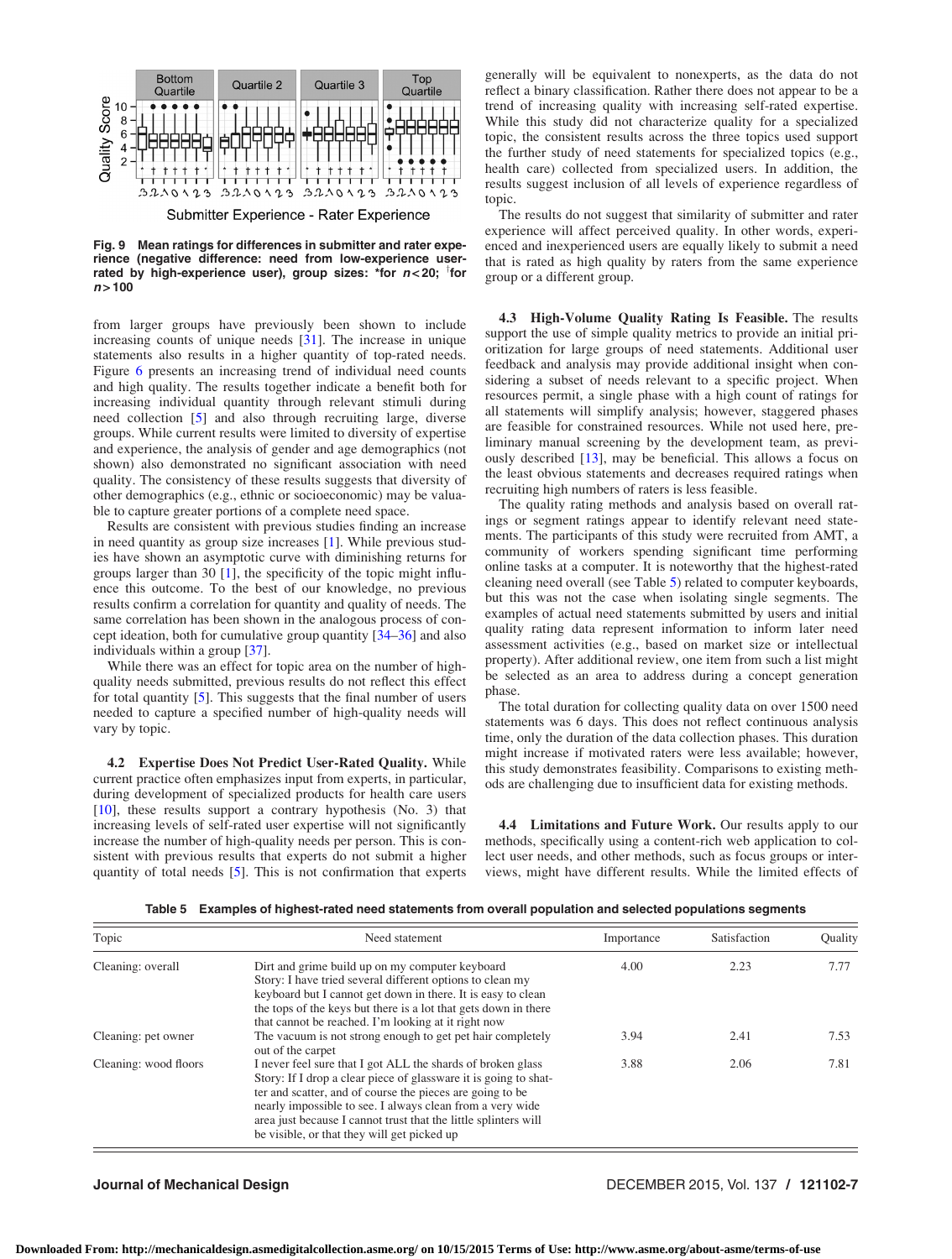<span id="page-6-0"></span>

Fig. 9 Mean ratings for differences in submitter and rater experience (negative difference: need from low-experience userrated by high-experience user), group sizes: \*for  $n < 20$ ; 1for  $n > 100$ 

from larger groups have previously been shown to include increasing counts of unique needs [\[31](#page-7-0)]. The increase in unique statements also results in a higher quantity of top-rated needs. Figure [6](#page-5-0) presents an increasing trend of individual need counts and high quality. The results together indicate a benefit both for increasing individual quantity through relevant stimuli during need collection [[5](#page-7-0)] and also through recruiting large, diverse groups. While current results were limited to diversity of expertise and experience, the analysis of gender and age demographics (not shown) also demonstrated no significant association with need quality. The consistency of these results suggests that diversity of other demographics (e.g., ethnic or socioeconomic) may be valuable to capture greater portions of a complete need space.

Results are consistent with previous studies finding an increase in need quantity as group size increases [\[1\]](#page-7-0). While previous studies have shown an asymptotic curve with diminishing returns for groups larger than 30 [[1](#page-7-0)], the specificity of the topic might influence this outcome. To the best of our knowledge, no previous results confirm a correlation for quantity and quality of needs. The same correlation has been shown in the analogous process of concept ideation, both for cumulative group quantity [\[34](#page-8-0)–[36\]](#page-8-0) and also individuals within a group [\[37](#page-8-0)].

While there was an effect for topic area on the number of highquality needs submitted, previous results do not reflect this effect for total quantity [[5\]](#page-7-0). This suggests that the final number of users needed to capture a specified number of high-quality needs will vary by topic.

4.2 Expertise Does Not Predict User-Rated Quality. While current practice often emphasizes input from experts, in particular, during development of specialized products for health care users [[10\]](#page-7-0), these results support a contrary hypothesis (No. 3) that increasing levels of self-rated user expertise will not significantly increase the number of high-quality needs per person. This is consistent with previous results that experts do not submit a higher quantity of total needs [\[5\]](#page-7-0). This is not confirmation that experts

generally will be equivalent to nonexperts, as the data do not reflect a binary classification. Rather there does not appear to be a trend of increasing quality with increasing self-rated expertise. While this study did not characterize quality for a specialized topic, the consistent results across the three topics used support the further study of need statements for specialized topics (e.g., health care) collected from specialized users. In addition, the results suggest inclusion of all levels of experience regardless of topic.

The results do not suggest that similarity of submitter and rater experience will affect perceived quality. In other words, experienced and inexperienced users are equally likely to submit a need that is rated as high quality by raters from the same experience group or a different group.

4.3 High-Volume Quality Rating Is Feasible. The results support the use of simple quality metrics to provide an initial prioritization for large groups of need statements. Additional user feedback and analysis may provide additional insight when considering a subset of needs relevant to a specific project. When resources permit, a single phase with a high count of ratings for all statements will simplify analysis; however, staggered phases are feasible for constrained resources. While not used here, preliminary manual screening by the development team, as previously described [\[13](#page-7-0)], may be beneficial. This allows a focus on the least obvious statements and decreases required ratings when recruiting high numbers of raters is less feasible.

The quality rating methods and analysis based on overall ratings or segment ratings appear to identify relevant need statements. The participants of this study were recruited from AMT, a community of workers spending significant time performing online tasks at a computer. It is noteworthy that the highest-rated cleaning need overall (see Table 5) related to computer keyboards, but this was not the case when isolating single segments. The examples of actual need statements submitted by users and initial quality rating data represent information to inform later need assessment activities (e.g., based on market size or intellectual property). After additional review, one item from such a list might be selected as an area to address during a concept generation phase.

The total duration for collecting quality data on over 1500 need statements was 6 days. This does not reflect continuous analysis time, only the duration of the data collection phases. This duration might increase if motivated raters were less available; however, this study demonstrates feasibility. Comparisons to existing methods are challenging due to insufficient data for existing methods.

4.4 Limitations and Future Work. Our results apply to our methods, specifically using a content-rich web application to collect user needs, and other methods, such as focus groups or interviews, might have different results. While the limited effects of

| Topic                                                                                                                                                                                                                                                                                                                       | Need statement                                                                                                                                                                                                                                                                                                                                                              | Importance | Satisfaction | Quality |  |
|-----------------------------------------------------------------------------------------------------------------------------------------------------------------------------------------------------------------------------------------------------------------------------------------------------------------------------|-----------------------------------------------------------------------------------------------------------------------------------------------------------------------------------------------------------------------------------------------------------------------------------------------------------------------------------------------------------------------------|------------|--------------|---------|--|
| Cleaning: overall<br>Dirt and grime build up on my computer keyboard<br>Story: I have tried several different options to clean my<br>keyboard but I cannot get down in there. It is easy to clean<br>the tops of the keys but there is a lot that gets down in there<br>that cannot be reached. I'm looking at it right now |                                                                                                                                                                                                                                                                                                                                                                             | 4.00       | 2.23         | 7.77    |  |
| Cleaning: pet owner                                                                                                                                                                                                                                                                                                         | The vacuum is not strong enough to get pet hair completely<br>out of the carpet                                                                                                                                                                                                                                                                                             | 3.94       | 2.41         | 7.53    |  |
| Cleaning: wood floors                                                                                                                                                                                                                                                                                                       | I never feel sure that I got ALL the shards of broken glass<br>Story: If I drop a clear piece of glassware it is going to shat-<br>ter and scatter, and of course the pieces are going to be<br>nearly impossible to see. I always clean from a very wide<br>area just because I cannot trust that the little splinters will<br>be visible, or that they will get picked up | 3.88       | 2.06         | 7.81    |  |

Table 5 Examples of highest-rated need statements from overall population and selected populations segments

Journal of Mechanical Design DECEMBER 2015, Vol. 137 / 121102-7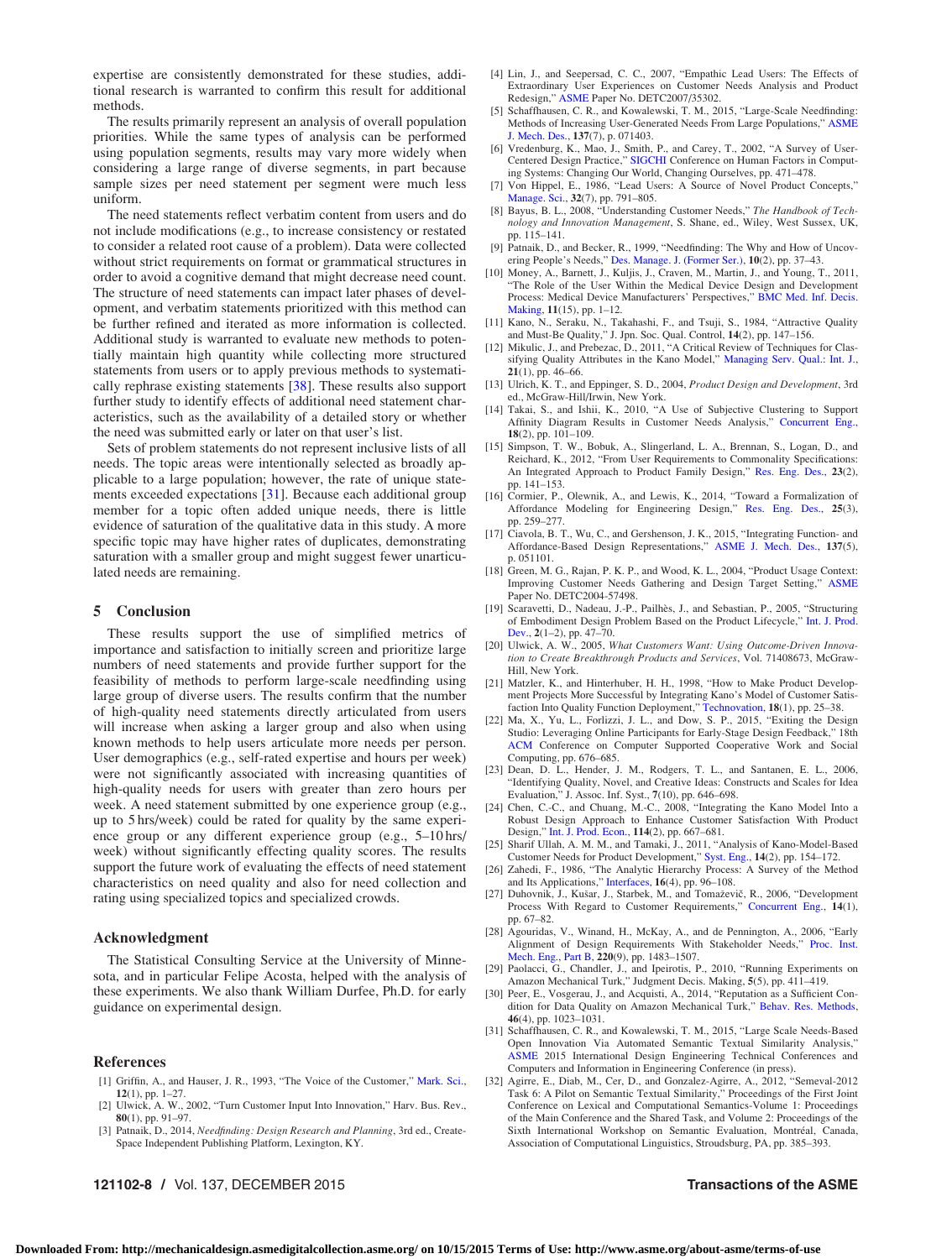<span id="page-7-0"></span>expertise are consistently demonstrated for these studies, additional research is warranted to confirm this result for additional methods.

The results primarily represent an analysis of overall population priorities. While the same types of analysis can be performed using population segments, results may vary more widely when considering a large range of diverse segments, in part because sample sizes per need statement per segment were much less uniform.

The need statements reflect verbatim content from users and do not include modifications (e.g., to increase consistency or restated to consider a related root cause of a problem). Data were collected without strict requirements on format or grammatical structures in order to avoid a cognitive demand that might decrease need count. The structure of need statements can impact later phases of development, and verbatim statements prioritized with this method can be further refined and iterated as more information is collected. Additional study is warranted to evaluate new methods to potentially maintain high quantity while collecting more structured statements from users or to apply previous methods to systematically rephrase existing statements [[38\]](#page-8-0). These results also support further study to identify effects of additional need statement characteristics, such as the availability of a detailed story or whether the need was submitted early or later on that user's list.

Sets of problem statements do not represent inclusive lists of all needs. The topic areas were intentionally selected as broadly applicable to a large population; however, the rate of unique statements exceeded expectations [31]. Because each additional group member for a topic often added unique needs, there is little evidence of saturation of the qualitative data in this study. A more specific topic may have higher rates of duplicates, demonstrating saturation with a smaller group and might suggest fewer unarticulated needs are remaining.

### 5 Conclusion

These results support the use of simplified metrics of importance and satisfaction to initially screen and prioritize large numbers of need statements and provide further support for the feasibility of methods to perform large-scale needfinding using large group of diverse users. The results confirm that the number of high-quality need statements directly articulated from users will increase when asking a larger group and also when using known methods to help users articulate more needs per person. User demographics (e.g., self-rated expertise and hours per week) were not significantly associated with increasing quantities of high-quality needs for users with greater than zero hours per week. A need statement submitted by one experience group (e.g., up to 5 hrs/week) could be rated for quality by the same experience group or any different experience group (e.g., 5–10 hrs/ week) without significantly effecting quality scores. The results support the future work of evaluating the effects of need statement characteristics on need quality and also for need collection and rating using specialized topics and specialized crowds.

#### Acknowledgment

The Statistical Consulting Service at the University of Minnesota, and in particular Felipe Acosta, helped with the analysis of these experiments. We also thank William Durfee, Ph.D. for early guidance on experimental design.

#### References

- [1] Griffin, A., and Hauser, J. R., 1993, "The Voice of the Customer," [Mark. Sci.](http://dx.doi.org/10.1287/mksc.12.1.1), 12(1), pp. 1–27.
- [2] Ulwick, A. W., 2002, "Turn Customer Input Into Innovation," Harv. Bus. Rev., 80(1), pp. 91–97.
- [3] Patnaik, D., 2014, Needfinding: Design Research and Planning, 3rd ed., Create-Space Independent Publishing Platform, Lexington, KY.
- 121102-8 / Vol. 137, DECEMBER 2015 Transactions of the ASME
- [4] Lin, J., and Seepersad, C. C., 2007, "Empathic Lead Users: The Effects of Extraordinary User Experiences on Customer Needs Analysis and Product Redesign," [ASME](http://dx.doi.org/10.1115/DETC2007-35302) Paper No. DETC2007/35302.
- [5] Schaffhausen, C. R., and Kowalewski, T. M., 2015, "Large-Scale Needfinding: Methods of Increasing User-Generated Needs From Large Populations," [ASME](http://dx.doi.org/10.1115/1.4030161) [J. Mech. Des.](http://dx.doi.org/10.1115/1.4030161), 137(7), p. 071403.
- [6] Vredenburg, K., Mao, J., Smith, P., and Carey, T., 2002, "A Survey of User-Centered Design Practice," [SIGCHI](http://dx.doi.org/10.1145/503376.503460) Conference on Human Factors in Computing Systems: Changing Our World, Changing Ourselves, pp. 471–478.
- [7] Von Hippel, E., 1986, "Lead Users: A Source of Novel Product Concepts," [Manage. Sci.,](http://dx.doi.org/10.1287/mnsc.32.7.791) 32(7), pp. 791–805.
- [8] Bayus, B. L., 2008, "Understanding Customer Needs," The Handbook of Technology and Innovation Management, S. Shane, ed., Wiley, West Sussex, UK, pp. 115–141.
- [9] Patnaik, D., and Becker, R., 1999, "Needfinding: The Why and How of Uncovering People's Needs," [Des. Manage. J. \(Former Ser.\),](http://dx.doi.org/10.1111/j.1948-7169.1999.tb00250.x) 10(2), pp. 37–43.
- [10] Money, A., Barnett, J., Kuljis, J., Craven, M., Martin, J., and Young, T., 2011, "The Role of the User Within the Medical Device Design and Development Process: Medical Device Manufacturers' Perspectives," [BMC Med. Inf. Decis.](http://dx.doi.org/10.1186/1472-6947-11-15) [Making,](http://dx.doi.org/10.1186/1472-6947-11-15) 11(15), pp. 1–12.
- [11] Kano, N., Seraku, N., Takahashi, F., and Tsuji, S., 1984, "Attractive Quality and Must-Be Quality," J. Jpn. Soc. Qual. Control, 14(2), pp. 147–156.
- [12] Mikulic, J., and Prebezac, D., 2011, "A Critical Review of Techniques for Classifying Quality Attributes in the Kano Model," [Managing Serv. Qual.: Int. J.](http://dx.doi.org/10.1108/09604521111100243), 21(1), pp. 46–66.
- [13] Ulrich, K. T., and Eppinger, S. D., 2004, Product Design and Development, 3rd ed., McGraw-Hill/Irwin, New York. [14] Takai, S., and Ishii, K., 2010, "A Use of Subjective Clustering to Support
- Affinity Diagram Results in Customer Needs Analysis," [Concurrent Eng.](http://dx.doi.org/10.1177/1063293X10372792), 18(2), pp. 101–109.
- [15] Simpson, T. W., Bobuk, A., Slingerland, L. A., Brennan, S., Logan, D., and Reichard, K., 2012, "From User Requirements to Commonality Specifications: An Integrated Approach to Product Family Design," [Res. Eng. Des.](http://dx.doi.org/10.1007/s00163-011-0119-4), 23(2), pp. 141–153.
- [16] Cormier, P., Olewnik, A., and Lewis, K., 2014, "Toward a Formalization of Affordance Modeling for Engineering Design," [Res. Eng. Des.](http://dx.doi.org/10.1007/s00163-014-0179-3), 25(3), pp. 259–277.
- [17] Ciavola, B. T., Wu, C., and Gershenson, J. K., 2015, "Integrating Function- and Affordance-Based Design Representations," [ASME J. Mech. Des.,](http://dx.doi.org/10.1115/1.4029519) 137(5), p. 051101.
- [18] Green, M. G., Rajan, P. K. P., and Wood, K. L., 2004, "Product Usage Context: Improving Customer Needs Gathering and Design Target Setting," [ASME](http://dx.doi.org/10.1115/DETC2004-57498) Paper No. DETC2004-57498.
- [19] Scaravetti, D., Nadeau, J.-P., Pailhe`s, J., and Sebastian, P., 2005, "Structuring of Embodiment Design Problem Based on the Product Lifecycle," [Int. J. Prod.](http://dx.doi.org/10.1504/IJPD.2005.006668) [Dev.](http://dx.doi.org/10.1504/IJPD.2005.006668), 2(1–2), pp. 47–70.
- [20] Ulwick, A. W., 2005, What Customers Want: Using Outcome-Driven Innovation to Create Breakthrough Products and Services, Vol. 71408673, McGraw-Hill, New York.
- [21] Matzler, K., and Hinterhuber, H. H., 1998, "How to Make Product Development Projects More Successful by Integrating Kano's Model of Customer Satisfaction Into Quality Function Deployment," [Technovation,](http://dx.doi.org/10.1016/S0166-4972(97)00072-2) 18(1), pp. 25–38.
- [22] Ma, X., Yu, L., Forlizzi, J. L., and Dow, S. P., 2015, "Exiting the Design Studio: Leveraging Online Participants for Early-Stage Design Feedback," 18th [ACM](http://dx.doi.org/10.1145/2675133.2675174) Conference on Computer Supported Cooperative Work and Social Computing, pp. 676–685.
- [23] Dean, D. L., Hender, J. M., Rodgers, T. L., and Santanen, E. L., 2006, "Identifying Quality, Novel, and Creative Ideas: Constructs and Scales for Idea Evaluation," J. Assoc. Inf. Syst., 7(10), pp. 646–698.
- [24] Chen, C.-C., and Chuang, M.-C., 2008, "Integrating the Kano Model Into a Robust Design Approach to Enhance Customer Satisfaction With Product Design," [Int. J. Prod. Econ.,](http://dx.doi.org/10.1016/j.ijpe.2008.02.015) 114(2), pp. 667–681.
- [25] Sharif Ullah, A. M. M., and Tamaki, J., 2011, "Analysis of Kano-Model-Based Customer Needs for Product Development," [Syst. Eng.,](http://dx.doi.org/10.1002/sys.20168) 14(2), pp. 154-172.
- [26] Zahedi, F., 1986, "The Analytic Hierarchy Process: A Survey of the Method and Its Applications," [Interfaces,](http://dx.doi.org/10.1287/inte.16.4.96) 16(4), pp. 96–108.
- [27] Duhovnik, J., Kušar, J., Starbek, M., and Tomaževič, R., 2006, "Development Process With Regard to Customer Requirements," [Concurrent Eng.,](http://dx.doi.org/10.1177/1063293X06064149) 14(1), pp. 67–82.
- [28] Agouridas, V., Winand, H., McKay, A., and de Pennington, A., 2006, "Early Alignment of Design Requirements With Stakeholder Needs," [Proc. Inst.](http://dx.doi.org/10.1243/09544054JEM404) [Mech. Eng., Part B,](http://dx.doi.org/10.1243/09544054JEM404) 220(9), pp. 1483-1507.
- [29] Paolacci, G., Chandler, J., and Ipeirotis, P., 2010, "Running Experiments on Amazon Mechanical Turk," Judgment Decis. Making, 5(5), pp. 411–419.
- [30] Peer, E., Vosgerau, J., and Acquisti, A., 2014, "Reputation as a Sufficient Condition for Data Quality on Amazon Mechanical Turk," [Behav. Res. Methods](http://dx.doi.org/10.3758/s13428-013-0434-y), 46(4), pp. 1023–1031.
- [31] Schaffhausen, C. R., and Kowalewski, T. M., 2015, "Large Scale Needs-Based Open Innovation Via Automated Semantic Textual Similarity Analysis,' [ASME](http://dx.doi.org/10.1115/1.4031655) 2015 International Design Engineering Technical Conferences and Computers and Information in Engineering Conference (in press).
- [32] Agirre, E., Diab, M., Cer, D., and Gonzalez-Agirre, A., 2012, "Semeval-2012 Task 6: A Pilot on Semantic Textual Similarity," Proceedings of the First Joint Conference on Lexical and Computational Semantics-Volume 1: Proceedings of the Main Conference and the Shared Task, and Volume 2: Proceedings of the Sixth International Workshop on Semantic Evaluation, Montreal, Canada, Association of Computational Linguistics, Stroudsburg, PA, pp. 385–393.